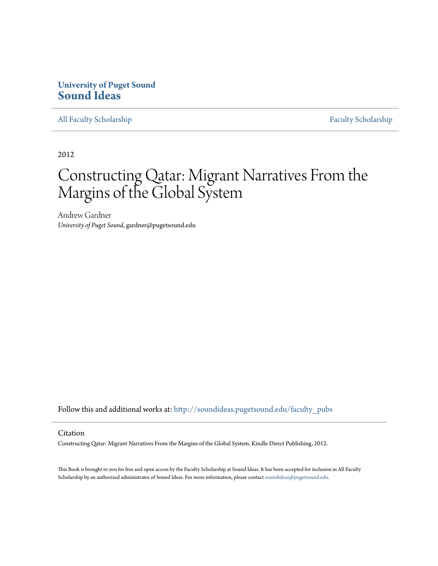#### **University of Puget Sound [Sound Ideas](http://soundideas.pugetsound.edu?utm_source=soundideas.pugetsound.edu%2Ffaculty_pubs%2F739&utm_medium=PDF&utm_campaign=PDFCoverPages)**

[All Faculty Scholarship](http://soundideas.pugetsound.edu/faculty_pubs?utm_source=soundideas.pugetsound.edu%2Ffaculty_pubs%2F739&utm_medium=PDF&utm_campaign=PDFCoverPages) [Faculty Scholarship](http://soundideas.pugetsound.edu/faculty_research?utm_source=soundideas.pugetsound.edu%2Ffaculty_pubs%2F739&utm_medium=PDF&utm_campaign=PDFCoverPages)

2012

# Constructing Qatar: Migrant Narratives From the Margins of the Global System

Andrew Gardner *University of Puget Sound*, gardner@pugetsound.edu

Follow this and additional works at: [http://soundideas.pugetsound.edu/faculty\\_pubs](http://soundideas.pugetsound.edu/faculty_pubs?utm_source=soundideas.pugetsound.edu%2Ffaculty_pubs%2F739&utm_medium=PDF&utm_campaign=PDFCoverPages)

#### Citation

Constructing Qatar: Migrant Narratives From the Margins of the Global System. Kindle Direct Publishing, 2012.

This Book is brought to you for free and open access by the Faculty Scholarship at Sound Ideas. It has been accepted for inclusion in All Faculty Scholarship by an authorized administrator of Sound Ideas. For more information, please contact [soundideas@pugetsound.edu](mailto:soundideas@pugetsound.edu).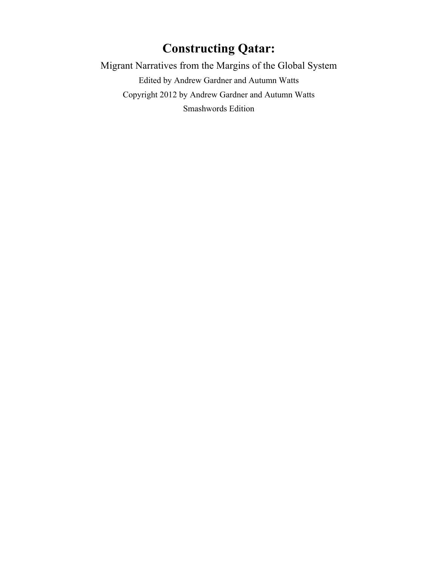# **Constructing Qatar:**

Migrant Narratives from the Margins of the Global System

Edited by Andrew Gardner and Autumn Watts Copyright 2012 by Andrew Gardner and Autumn Watts Smashwords Edition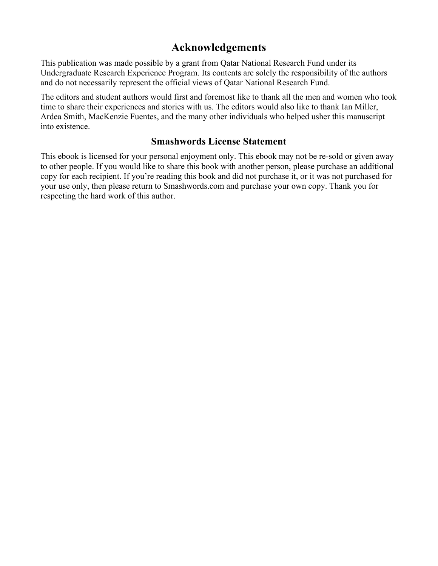### **Acknowledgements**

This publication was made possible by a grant from Qatar National Research Fund under its Undergraduate Research Experience Program. Its contents are solely the responsibility of the authors and do not necessarily represent the official views of Qatar National Research Fund.

The editors and student authors would first and foremost like to thank all the men and women who took time to share their experiences and stories with us. The editors would also like to thank Ian Miller, Ardea Smith, MacKenzie Fuentes, and the many other individuals who helped usher this manuscript into existence.

### **Smashwords License Statement**

This ebook is licensed for your personal enjoyment only. This ebook may not be re-sold or given away to other people. If you would like to share this book with another person, please purchase an additional copy for each recipient. If you're reading this book and did not purchase it, or it was not purchased for your use only, then please return to Smashwords.com and purchase your own copy. Thank you for respecting the hard work of this author.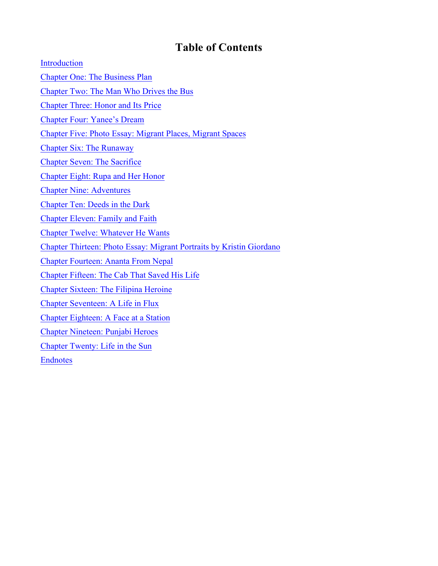# **Table of Contents**

Introduction Chapter One: The Business Plan Chapter Two: The Man Who Drives the Bus Chapter Three: Honor and Its Price Chapter Four: Yanee's Dream Chapter Five: Photo Essay: Migrant Places, Migrant Spaces Chapter Six: The Runaway Chapter Seven: The Sacrifice Chapter Eight: Rupa and Her Honor Chapter Nine: Adventures Chapter Ten: Deeds in the Dark Chapter Eleven: Family and Faith Chapter Twelve: Whatever He Wants Chapter Thirteen: Photo Essay: Migrant Portraits by Kristin Giordano Chapter Fourteen: Ananta From Nepal Chapter Fifteen: The Cab That Saved His Life Chapter Sixteen: The Filipina Heroine Chapter Seventeen: A Life in Flux Chapter Eighteen: A Face at a Station Chapter Nineteen: Punjabi Heroes Chapter Twenty: Life in the Sun Endnotes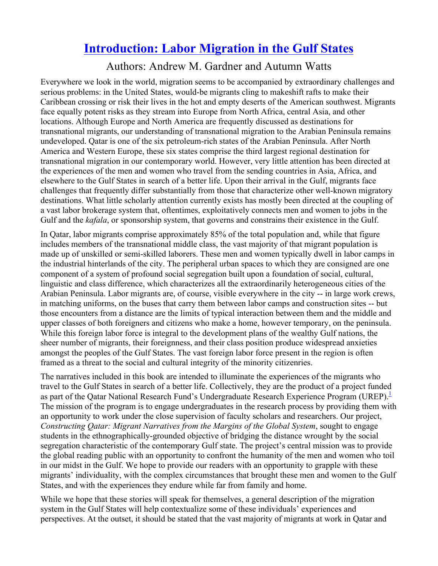# **Introduction: Labor Migration in the Gulf States**

## Authors: Andrew M. Gardner and Autumn Watts

Everywhere we look in the world, migration seems to be accompanied by extraordinary challenges and serious problems: in the United States, would-be migrants cling to makeshift rafts to make their Caribbean crossing or risk their lives in the hot and empty deserts of the American southwest. Migrants face equally potent risks as they stream into Europe from North Africa, central Asia, and other locations. Although Europe and North America are frequently discussed as destinations for transnational migrants, our understanding of transnational migration to the Arabian Peninsula remains undeveloped. Qatar is one of the six petroleum-rich states of the Arabian Peninsula. After North America and Western Europe, these six states comprise the third largest regional destination for transnational migration in our contemporary world. However, very little attention has been directed at the experiences of the men and women who travel from the sending countries in Asia, Africa, and elsewhere to the Gulf States in search of a better life. Upon their arrival in the Gulf, migrants face challenges that frequently differ substantially from those that characterize other well-known migratory destinations. What little scholarly attention currently exists has mostly been directed at the coupling of a vast labor brokerage system that, oftentimes, exploitatively connects men and women to jobs in the Gulf and the *kafala*, or sponsorship system, that governs and constrains their existence in the Gulf.

In Qatar, labor migrants comprise approximately 85% of the total population and, while that figure includes members of the transnational middle class, the vast majority of that migrant population is made up of unskilled or semi-skilled laborers. These men and women typically dwell in labor camps in the industrial hinterlands of the city. The peripheral urban spaces to which they are consigned are one component of a system of profound social segregation built upon a foundation of social, cultural, linguistic and class difference, which characterizes all the extraordinarily heterogeneous cities of the Arabian Peninsula. Labor migrants are, of course, visible everywhere in the city -- in large work crews, in matching uniforms, on the buses that carry them between labor camps and construction sites -- but those encounters from a distance are the limits of typical interaction between them and the middle and upper classes of both foreigners and citizens who make a home, however temporary, on the peninsula. While this foreign labor force is integral to the development plans of the wealthy Gulf nations, the sheer number of migrants, their foreignness, and their class position produce widespread anxieties amongst the peoples of the Gulf States. The vast foreign labor force present in the region is often framed as a threat to the social and cultural integrity of the minority citizenries.

The narratives included in this book are intended to illuminate the experiences of the migrants who travel to the Gulf States in search of a better life. Collectively, they are the product of a project funded as part of the Qatar National Research Fund's Undergraduate Research Experience Program (UREP).<sup>1</sup> The mission of the program is to engage undergraduates in the research process by providing them with an opportunity to work under the close supervision of faculty scholars and researchers. Our project, *Constructing Qatar: Migrant Narratives from the Margins of the Global System*, sought to engage students in the ethnographically-grounded objective of bridging the distance wrought by the social segregation characteristic of the contemporary Gulf state. The project's central mission was to provide the global reading public with an opportunity to confront the humanity of the men and women who toil in our midst in the Gulf. We hope to provide our readers with an opportunity to grapple with these migrants' individuality, with the complex circumstances that brought these men and women to the Gulf States, and with the experiences they endure while far from family and home.

While we hope that these stories will speak for themselves, a general description of the migration system in the Gulf States will help contextualize some of these individuals' experiences and perspectives. At the outset, it should be stated that the vast majority of migrants at work in Qatar and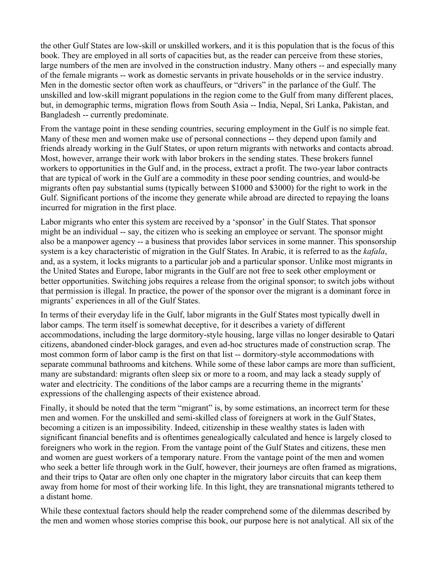the other Gulf States are low-skill or unskilled workers, and it is this population that is the focus of this book. They are employed in all sorts of capacities but, as the reader can perceive from these stories, large numbers of the men are involved in the construction industry. Many others -- and especially many of the female migrants -- work as domestic servants in private households or in the service industry. Men in the domestic sector often work as chauffeurs, or "drivers" in the parlance of the Gulf. The unskilled and low-skill migrant populations in the region come to the Gulf from many different places, but, in demographic terms, migration flows from South Asia -- India, Nepal, Sri Lanka, Pakistan, and Bangladesh -- currently predominate.

From the vantage point in these sending countries, securing employment in the Gulf is no simple feat. Many of these men and women make use of personal connections -- they depend upon family and friends already working in the Gulf States, or upon return migrants with networks and contacts abroad. Most, however, arrange their work with labor brokers in the sending states. These brokers funnel workers to opportunities in the Gulf and, in the process, extract a profit. The two-year labor contracts that are typical of work in the Gulf are a commodity in these poor sending countries, and would-be migrants often pay substantial sums (typically between \$1000 and \$3000) for the right to work in the Gulf. Significant portions of the income they generate while abroad are directed to repaying the loans incurred for migration in the first place.

Labor migrants who enter this system are received by a 'sponsor' in the Gulf States. That sponsor might be an individual -- say, the citizen who is seeking an employee or servant. The sponsor might also be a manpower agency -- a business that provides labor services in some manner. This sponsorship system is a key characteristic of migration in the Gulf States. In Arabic, it is referred to as the *kafala*, and, as a system, it locks migrants to a particular job and a particular sponsor. Unlike most migrants in the United States and Europe, labor migrants in the Gulf are not free to seek other employment or better opportunities. Switching jobs requires a release from the original sponsor; to switch jobs without that permission is illegal. In practice, the power of the sponsor over the migrant is a dominant force in migrants' experiences in all of the Gulf States.

In terms of their everyday life in the Gulf, labor migrants in the Gulf States most typically dwell in labor camps. The term itself is somewhat deceptive, for it describes a variety of different accommodations, including the large dormitory-style housing, large villas no longer desirable to Qatari citizens, abandoned cinder-block garages, and even ad-hoc structures made of construction scrap. The most common form of labor camp is the first on that list -- dormitory-style accommodations with separate communal bathrooms and kitchens. While some of these labor camps are more than sufficient, many are substandard: migrants often sleep six or more to a room, and may lack a steady supply of water and electricity. The conditions of the labor camps are a recurring theme in the migrants' expressions of the challenging aspects of their existence abroad.

Finally, it should be noted that the term "migrant" is, by some estimations, an incorrect term for these men and women. For the unskilled and semi-skilled class of foreigners at work in the Gulf States, becoming a citizen is an impossibility. Indeed, citizenship in these wealthy states is laden with significant financial benefits and is oftentimes genealogically calculated and hence is largely closed to foreigners who work in the region. From the vantage point of the Gulf States and citizens, these men and women are guest workers of a temporary nature. From the vantage point of the men and women who seek a better life through work in the Gulf, however, their journeys are often framed as migrations, and their trips to Qatar are often only one chapter in the migratory labor circuits that can keep them away from home for most of their working life. In this light, they are transnational migrants tethered to a distant home.

While these contextual factors should help the reader comprehend some of the dilemmas described by the men and women whose stories comprise this book, our purpose here is not analytical. All six of the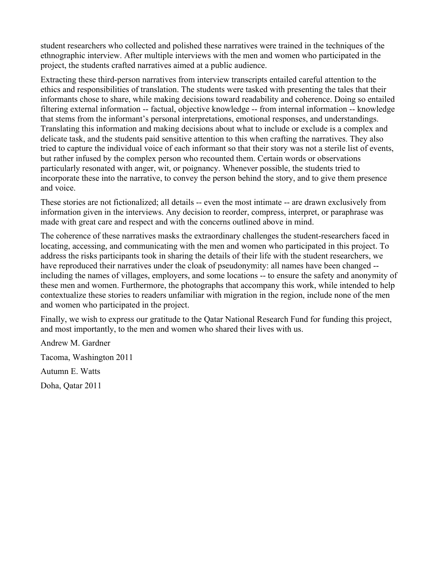student researchers who collected and polished these narratives were trained in the techniques of the ethnographic interview. After multiple interviews with the men and women who participated in the project, the students crafted narratives aimed at a public audience.

Extracting these third-person narratives from interview transcripts entailed careful attention to the ethics and responsibilities of translation. The students were tasked with presenting the tales that their informants chose to share, while making decisions toward readability and coherence. Doing so entailed filtering external information -- factual, objective knowledge -- from internal information -- knowledge that stems from the informant's personal interpretations, emotional responses, and understandings. Translating this information and making decisions about what to include or exclude is a complex and delicate task, and the students paid sensitive attention to this when crafting the narratives. They also tried to capture the individual voice of each informant so that their story was not a sterile list of events, but rather infused by the complex person who recounted them. Certain words or observations particularly resonated with anger, wit, or poignancy. Whenever possible, the students tried to incorporate these into the narrative, to convey the person behind the story, and to give them presence and voice.

These stories are not fictionalized; all details -- even the most intimate -- are drawn exclusively from information given in the interviews. Any decision to reorder, compress, interpret, or paraphrase was made with great care and respect and with the concerns outlined above in mind.

The coherence of these narratives masks the extraordinary challenges the student-researchers faced in locating, accessing, and communicating with the men and women who participated in this project. To address the risks participants took in sharing the details of their life with the student researchers, we have reproduced their narratives under the cloak of pseudonymity: all names have been changed - including the names of villages, employers, and some locations -- to ensure the safety and anonymity of these men and women. Furthermore, the photographs that accompany this work, while intended to help contextualize these stories to readers unfamiliar with migration in the region, include none of the men and women who participated in the project.

Finally, we wish to express our gratitude to the Qatar National Research Fund for funding this project, and most importantly, to the men and women who shared their lives with us.

Andrew M. Gardner Tacoma, Washington 2011 Autumn E. Watts Doha, Qatar 2011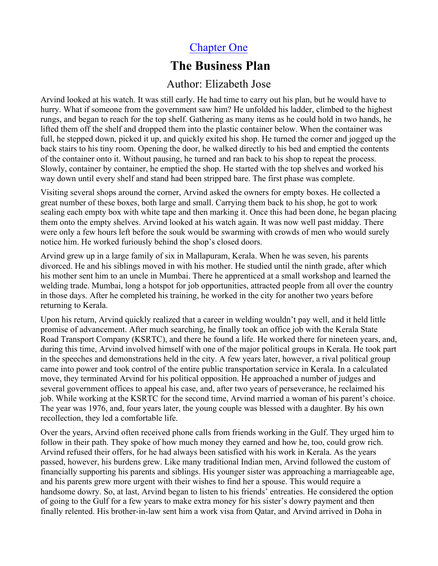# Chapter One

# **The Business Plan**

## Author: Elizabeth Jose

Arvind looked at his watch. It was still early. He had time to carry out his plan, but he would have to hurry. What if someone from the government saw him? He unfolded his ladder, climbed to the highest rungs, and began to reach for the top shelf. Gathering as many items as he could hold in two hands, he lifted them off the shelf and dropped them into the plastic container below. When the container was full, he stepped down, picked it up, and quickly exited his shop. He turned the corner and jogged up the back stairs to his tiny room. Opening the door, he walked directly to his bed and emptied the contents of the container onto it. Without pausing, he turned and ran back to his shop to repeat the process. Slowly, container by container, he emptied the shop. He started with the top shelves and worked his way down until every shelf and stand had been stripped bare. The first phase was complete.

Visiting several shops around the corner, Arvind asked the owners for empty boxes. He collected a great number of these boxes, both large and small. Carrying them back to his shop, he got to work sealing each empty box with white tape and then marking it. Once this had been done, he began placing them onto the empty shelves. Arvind looked at his watch again. It was now well past midday. There were only a few hours left before the souk would be swarming with crowds of men who would surely notice him. He worked furiously behind the shop's closed doors.

Arvind grew up in a large family of six in Mallapuram, Kerala. When he was seven, his parents divorced. He and his siblings moved in with his mother. He studied until the ninth grade, after which his mother sent him to an uncle in Mumbai. There he apprenticed at a small workshop and learned the welding trade. Mumbai, long a hotspot for job opportunities, attracted people from all over the country in those days. After he completed his training, he worked in the city for another two years before returning to Kerala.

Upon his return, Arvind quickly realized that a career in welding wouldn't pay well, and it held little promise of advancement. After much searching, he finally took an office job with the Kerala State Road Transport Company (KSRTC), and there he found a life. He worked there for nineteen years, and, during this time, Arvind involved himself with one of the major political groups in Kerala. He took part in the speeches and demonstrations held in the city. A few years later, however, a rival political group came into power and took control of the entire public transportation service in Kerala. In a calculated move, they terminated Arvind for his political opposition. He approached a number of judges and several government offices to appeal his case, and, after two years of perseverance, he reclaimed his job. While working at the KSRTC for the second time, Arvind married a woman of his parent's choice. The year was 1976, and, four years later, the young couple was blessed with a daughter. By his own recollection, they led a comfortable life.

Over the years, Arvind often received phone calls from friends working in the Gulf. They urged him to follow in their path. They spoke of how much money they earned and how he, too, could grow rich. Arvind refused their offers, for he had always been satisfied with his work in Kerala. As the years passed, however, his burdens grew. Like many traditional Indian men, Arvind followed the custom of financially supporting his parents and siblings. His younger sister was approaching a marriageable age, and his parents grew more urgent with their wishes to find her a spouse. This would require a handsome dowry. So, at last, Arvind began to listen to his friends' entreaties. He considered the option of going to the Gulf for a few years to make extra money for his sister's dowry payment and then finally relented. His brother-in-law sent him a work visa from Qatar, and Arvind arrived in Doha in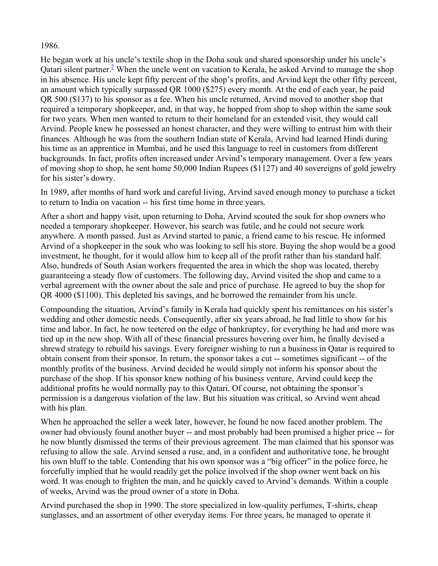#### 1986.

He began work at his uncle's textile shop in the Doha souk and shared sponsorship under his uncle's Qatari silent partner.<sup>2</sup> When the uncle went on vacation to Kerala, he asked Arvind to manage the shop in his absence. His uncle kept fifty percent of the shop's profits, and Arvind kept the other fifty percent, an amount which typically surpassed QR 1000 (\$275) every month. At the end of each year, he paid QR 500 (\$137) to his sponsor as a fee. When his uncle returned, Arvind moved to another shop that required a temporary shopkeeper, and, in that way, he hopped from shop to shop within the same souk for two years. When men wanted to return to their homeland for an extended visit, they would call Arvind. People knew he possessed an honest character, and they were willing to entrust him with their finances. Although he was from the southern Indian state of Kerala, Arvind had learned Hindi during his time as an apprentice in Mumbai, and he used this language to reel in customers from different backgrounds. In fact, profits often increased under Arvind's temporary management. Over a few years of moving shop to shop, he sent home 50,000 Indian Rupees (\$1127) and 40 sovereigns of gold jewelry for his sister's dowry.

In 1989, after months of hard work and careful living, Arvind saved enough money to purchase a ticket to return to India on vacation -- his first time home in three years.

After a short and happy visit, upon returning to Doha, Arvind scouted the souk for shop owners who needed a temporary shopkeeper. However, his search was futile, and he could not secure work anywhere. A month passed. Just as Arvind started to panic, a friend came to his rescue. He informed Arvind of a shopkeeper in the souk who was looking to sell his store. Buying the shop would be a good investment, he thought, for it would allow him to keep all of the profit rather than his standard half. Also, hundreds of South Asian workers frequented the area in which the shop was located, thereby guaranteeing a steady flow of customers. The following day, Arvind visited the shop and came to a verbal agreement with the owner about the sale and price of purchase. He agreed to buy the shop for QR 4000 (\$1100). This depleted his savings, and he borrowed the remainder from his uncle.

Compounding the situation, Arvind's family in Kerala had quickly spent his remittances on his sister's wedding and other domestic needs. Consequently, after six years abroad, he had little to show for his time and labor. In fact, he now teetered on the edge of bankruptcy, for everything he had and more was tied up in the new shop. With all of these financial pressures hovering over him, he finally devised a shrewd strategy to rebuild his savings. Every foreigner wishing to run a business in Qatar is required to obtain consent from their sponsor. In return, the sponsor takes a cut -- sometimes significant -- of the monthly profits of the business. Arvind decided he would simply not inform his sponsor about the purchase of the shop. If his sponsor knew nothing of his business venture, Arvind could keep the additional profits he would normally pay to this Qatari. Of course, not obtaining the sponsor's permission is a dangerous violation of the law. But his situation was critical, so Arvind went ahead with his plan.

When he approached the seller a week later, however, he found he now faced another problem. The owner had obviously found another buyer -- and most probably had been promised a higher price -- for he now bluntly dismissed the terms of their previous agreement. The man claimed that his sponsor was refusing to allow the sale. Arvind sensed a ruse, and, in a confident and authoritative tone, he brought his own bluff to the table. Contending that his own sponsor was a "big officer" in the police force, he forcefully implied that he would readily get the police involved if the shop owner went back on his word. It was enough to frighten the man, and he quickly caved to Arvind's demands. Within a couple of weeks, Arvind was the proud owner of a store in Doha.

Arvind purchased the shop in 1990. The store specialized in low-quality perfumes, T-shirts, cheap sunglasses, and an assortment of other everyday items. For three years, he managed to operate it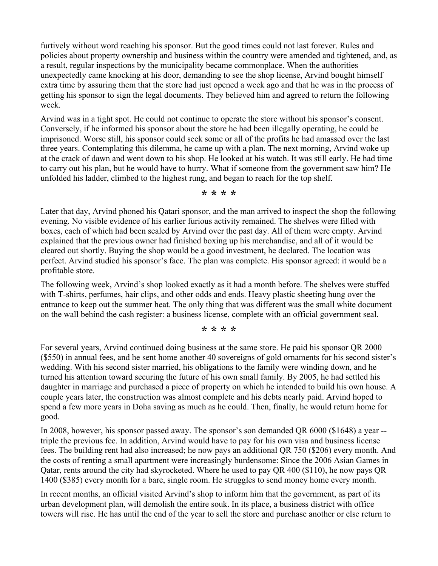furtively without word reaching his sponsor. But the good times could not last forever. Rules and policies about property ownership and business within the country were amended and tightened, and, as a result, regular inspections by the municipality became commonplace. When the authorities unexpectedly came knocking at his door, demanding to see the shop license, Arvind bought himself extra time by assuring them that the store had just opened a week ago and that he was in the process of getting his sponsor to sign the legal documents. They believed him and agreed to return the following week.

Arvind was in a tight spot. He could not continue to operate the store without his sponsor's consent. Conversely, if he informed his sponsor about the store he had been illegally operating, he could be imprisoned. Worse still, his sponsor could seek some or all of the profits he had amassed over the last three years. Contemplating this dilemma, he came up with a plan. The next morning, Arvind woke up at the crack of dawn and went down to his shop. He looked at his watch. It was still early. He had time to carry out his plan, but he would have to hurry. What if someone from the government saw him? He unfolded his ladder, climbed to the highest rung, and began to reach for the top shelf.

**\* \* \* \***

Later that day, Arvind phoned his Qatari sponsor, and the man arrived to inspect the shop the following evening. No visible evidence of his earlier furious activity remained. The shelves were filled with boxes, each of which had been sealed by Arvind over the past day. All of them were empty. Arvind explained that the previous owner had finished boxing up his merchandise, and all of it would be cleared out shortly. Buying the shop would be a good investment, he declared. The location was perfect. Arvind studied his sponsor's face. The plan was complete. His sponsor agreed: it would be a profitable store.

The following week, Arvind's shop looked exactly as it had a month before. The shelves were stuffed with T-shirts, perfumes, hair clips, and other odds and ends. Heavy plastic sheeting hung over the entrance to keep out the summer heat. The only thing that was different was the small white document on the wall behind the cash register: a business license, complete with an official government seal.

**\* \* \* \***

For several years, Arvind continued doing business at the same store. He paid his sponsor QR 2000 (\$550) in annual fees, and he sent home another 40 sovereigns of gold ornaments for his second sister's wedding. With his second sister married, his obligations to the family were winding down, and he turned his attention toward securing the future of his own small family. By 2005, he had settled his daughter in marriage and purchased a piece of property on which he intended to build his own house. A couple years later, the construction was almost complete and his debts nearly paid. Arvind hoped to spend a few more years in Doha saving as much as he could. Then, finally, he would return home for good.

In 2008, however, his sponsor passed away. The sponsor's son demanded QR 6000 (\$1648) a year - triple the previous fee. In addition, Arvind would have to pay for his own visa and business license fees. The building rent had also increased; he now pays an additional QR 750 (\$206) every month. And the costs of renting a small apartment were increasingly burdensome: Since the 2006 Asian Games in Qatar, rents around the city had skyrocketed. Where he used to pay QR 400 (\$110), he now pays QR 1400 (\$385) every month for a bare, single room. He struggles to send money home every month.

In recent months, an official visited Arvind's shop to inform him that the government, as part of its urban development plan, will demolish the entire souk. In its place, a business district with office towers will rise. He has until the end of the year to sell the store and purchase another or else return to